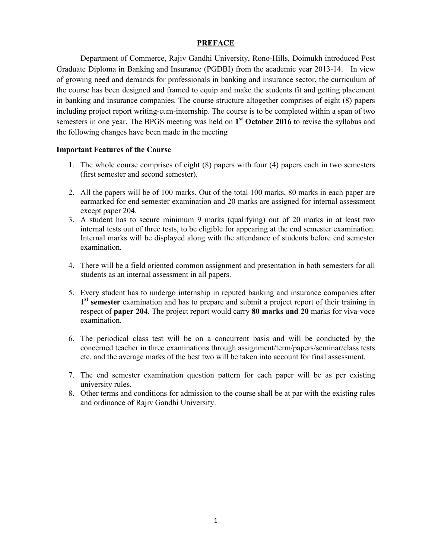### **PREFACE**

Department of Commerce, Rajiv Gandhi University, Rono-Hills, Doimukh introduced Post Graduate Diploma in Banking and Insurance (PGDBI) from the academic year 2013-14. In view of growing need and demands for professionals in banking and insurance sector, the curriculum of the course has been designed and framed to equip and make the students fit and getting placement in banking and insurance companies. The course structure altogether comprises of eight (8) papers including project report writing-cum-internship. The course is to be completed within a span of two semesters in one year. The BPGS meeting was held on 1<sup>st</sup> October 2016 to revise the syllabus and the following changes have been made in the meeting

### **Important Features of the Course**

- 1. The whole course comprises of eight (8) papers with four (4) papers each in two semesters (first semester and second semester).
- 2. All the papers will be of 100 marks. Out of the total 100 marks, 80 marks in each paper are earmarked for end semester examination and 20 marks are assigned for internal assessment except paper 204.
- 3. A student has to secure minimum 9 marks (qualifying) out of 20 marks in at least two internal tests out of three tests, to be eligible for appearing at the end semester examination. Internal marks will be displayed along with the attendance of students before end semester examination.
- 4. There will be a field oriented common assignment and presentation in both semesters for all students as an internal assessment in all papers.
- 5. Every student has to undergo internship in reputed banking and insurance companies after 1<sup>st</sup> semester examination and has to prepare and submit a project report of their training in respect of paper 204. The project report would carry 80 marks and 20 marks for viva-voce examination.
- 6. The periodical class test will be on a concurrent basis and will be conducted by the concerned teacher in three examinations through assignment/term/papers/seminar/class tests etc. and the average marks of the best two will be taken into account for final assessment.
- 7. The end semester examination question pattern for each paper will be as per existing university rules.
- 8. Other terms and conditions for admission to the course shall be at par with the existing rules and ordinance of Rajiv Gandhi University.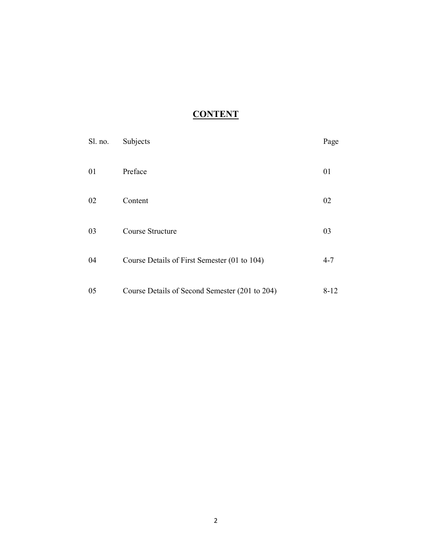# **CONTENT**

| Sl. no. | Subjects                                       | Page     |
|---------|------------------------------------------------|----------|
| 01      | Preface                                        | 01       |
| 02      | Content                                        | 02       |
| 03      | Course Structure                               | 03       |
| 04      | Course Details of First Semester (01 to 104)   | $4 - 7$  |
| 05      | Course Details of Second Semester (201 to 204) | $8 - 12$ |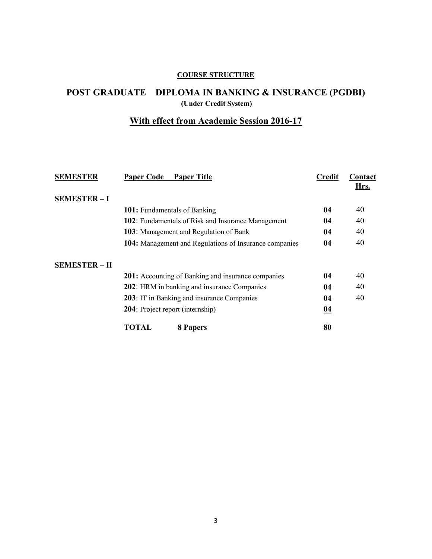## **COURSE STRUCTURE**

# POST GRADUATE DIPLOMA IN BANKING & INSURANCE (PGDBI) (Under Credit System)

## With effect from Academic Session 2016-17

| <b>SEMESTER</b>      | <b>Paper Code</b><br><b>Paper Title</b>                   | <b>Credit</b>    | Contact<br>Hrs. |
|----------------------|-----------------------------------------------------------|------------------|-----------------|
| <b>SEMESTER-I</b>    |                                                           |                  |                 |
|                      | 101: Fundamentals of Banking                              | 04               | 40              |
|                      | 102: Fundamentals of Risk and Insurance Management        | 04               | 40              |
|                      | 103: Management and Regulation of Bank                    | 04               | 40              |
|                      | 104: Management and Regulations of Insurance companies    | 04               | 40              |
| <b>SEMESTER - II</b> |                                                           |                  |                 |
|                      | <b>201:</b> Accounting of Banking and insurance companies | 04               | 40              |
|                      | 202: HRM in banking and insurance Companies               | 04               | 40              |
|                      | 203: IT in Banking and insurance Companies                | 04               | 40              |
|                      | 204: Project report (internship)                          | $\underline{04}$ |                 |
|                      | TOTAL<br>8 Papers                                         | 80               |                 |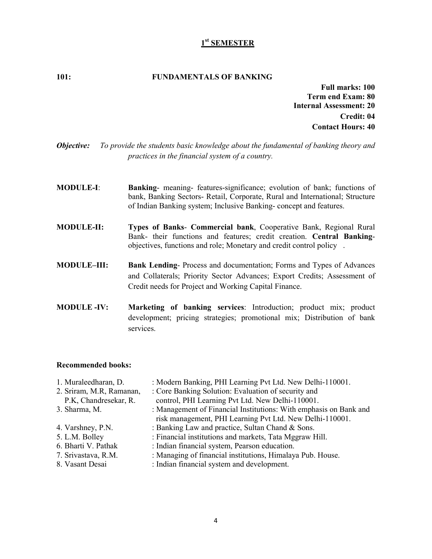### 1<sup>st</sup> SEMESTER

#### $101:$ **FUNDAMENTALS OF BANKING**

**Full marks: 100** Term end Exam: 80 **Internal Assessment: 20** Credit: 04 **Contact Hours: 40** 

- Objective: To provide the students basic knowledge about the fundamental of banking theory and practices in the financial system of a country.
- **MODULE-I:** Banking- meaning- features-significance; evolution of bank; functions of bank, Banking Sectors- Retail, Corporate, Rural and International; Structure of Indian Banking system; Inclusive Banking-concept and features.
- Types of Banks- Commercial bank, Cooperative Bank, Regional Rural **MODULE-II:** Bank- their functions and features; credit creation. Central Bankingobjectives, functions and role; Monetary and credit control policy.
- **MODULE-III:** Bank Lending-Process and documentation; Forms and Types of Advances and Collaterals; Priority Sector Advances; Export Credits; Assessment of Credit needs for Project and Working Capital Finance.
- **MODULE -IV:** Marketing of banking services: Introduction; product mix; product development; pricing strategies; promotional mix; Distribution of bank services.

| 1. Muraleedharan, D.     | : Modern Banking, PHI Learning Pvt Ltd. New Delhi-110001.         |
|--------------------------|-------------------------------------------------------------------|
| 2. Sriram, M.R. Ramanan, | : Core Banking Solution: Evaluation of security and               |
| P.K., Chandresekar, R.   | control, PHI Learning Pvt Ltd. New Delhi-110001.                  |
| 3. Sharma, M.            | : Management of Financial Institutions: With emphasis on Bank and |
|                          | risk management, PHI Learning Pvt Ltd. New Delhi-110001.          |
| 4. Varshney, P.N.        | : Banking Law and practice, Sultan Chand & Sons.                  |
| 5. L.M. Bolley           | : Financial institutions and markets, Tata Mggraw Hill.           |
| 6. Bharti V. Pathak      | : Indian financial system, Pearson education.                     |
| 7. Srivastava, R.M.      | : Managing of financial institutions, Himalaya Pub. House.        |
| 8. Vasant Desai          | : Indian financial system and development.                        |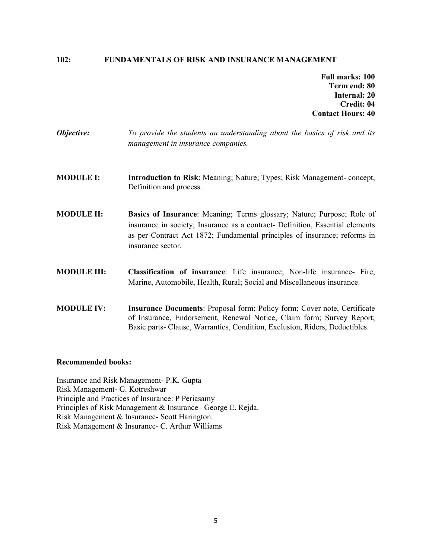#### **FUNDAMENTALS OF RISK AND INSURANCE MANAGEMENT**  $102:$

**Full marks: 100** Term end: 80 Internal: 20 Credit: 04 **Contact Hours: 40** 

- Objective: To provide the students an understanding about the basics of risk and its management in insurance companies.
- **MODULE I:** Introduction to Risk: Meaning; Nature; Types; Risk Management-concept, Definition and process.
- **MODULE II:** Basics of Insurance: Meaning; Terms glossary; Nature; Purpose; Role of insurance in society; Insurance as a contract- Definition, Essential elements as per Contract Act 1872; Fundamental principles of insurance; reforms in insurance sector.
- **MODULE III:** Classification of insurance: Life insurance; Non-life insurance- Fire, Marine, Automobile, Health, Rural; Social and Miscellaneous insurance.
- **MODULE IV: Insurance Documents:** Proposal form; Policy form; Cover note, Certificate of Insurance, Endorsement, Renewal Notice, Claim form; Survey Report; Basic parts- Clause, Warranties, Condition, Exclusion, Riders, Deductibles.

#### **Recommended books:**

Insurance and Risk Management- P.K. Gupta Risk Management- G. Kotreshwar Principle and Practices of Insurance: P Periasamy Principles of Risk Management & Insurance-George E. Rejda. Risk Management & Insurance- Scott Harington. Risk Management & Insurance - C. Arthur Williams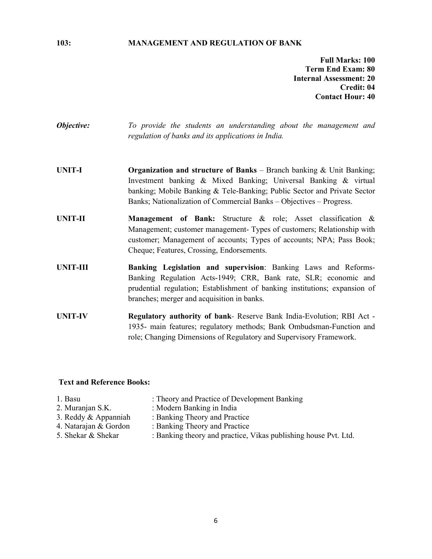#### **MANAGEMENT AND REGULATION OF BANK**

**Full Marks: 100** Term End Exam: 80 **Internal Assessment: 20** Credit: 04 **Contact Hour: 40** 

Objective: To provide the students an understanding about the management and regulation of banks and its applications in India.

- **UNIT-I Organization and structure of Banks** – Branch banking  $\&$  Unit Banking; Investment banking & Mixed Banking; Universal Banking & virtual banking; Mobile Banking & Tele-Banking; Public Sector and Private Sector Banks; Nationalization of Commercial Banks - Objectives - Progress.
- **UNIT-II Management of Bank:** Structure & role; Asset classification & Management; customer management- Types of customers; Relationship with customer; Management of accounts; Types of accounts; NPA; Pass Book; Cheque; Features, Crossing, Endorsements.
- **UNIT-III** Banking Legislation and supervision: Banking Laws and Reforms-Banking Regulation Acts-1949; CRR, Bank rate, SLR; economic and prudential regulation; Establishment of banking institutions; expansion of branches; merger and acquisition in banks.
- **UNIT-IV** Regulatory authority of bank- Reserve Bank India-Evolution; RBI Act -1935- main features; regulatory methods; Bank Ombudsman-Function and role; Changing Dimensions of Regulatory and Supervisory Framework.

#### **Text and Reference Books:**

- : Theory and Practice of Development Banking
- 2. Muranjan S.K.

1. Basu

- : Modern Banking in India : Banking Theory and Practice
- 3. Reddy & Appanniah 4. Natarajan & Gordon
- : Banking Theory and Practice
- 5. Shekar & Shekar
- : Banking theory and practice, Vikas publishing house Pvt. Ltd.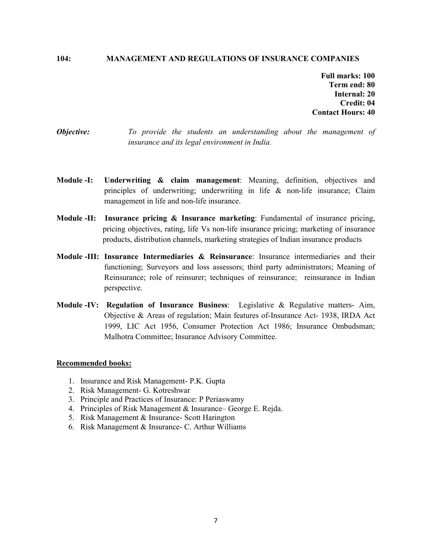#### $104:$ **MANAGEMENT AND REGULATIONS OF INSURANCE COMPANIES**

**Full marks: 100** Term end: 80 Internal: 20 Credit: 04 **Contact Hours: 40** 

- Objective: To provide the students an understanding about the management of insurance and its legal environment in India.
- Module -I: **Underwriting**  $\&$  **claim management:** Meaning, definition, objectives and principles of underwriting; underwriting in life  $\&$  non-life insurance; Claim management in life and non-life insurance.
- **Module -II:** Insurance pricing  $\&$  Insurance marketing: Fundamental of insurance pricing, pricing objectives, rating, life Vs non-life insurance pricing; marketing of insurance products, distribution channels, marketing strategies of Indian insurance products
- Module -III: Insurance Intermediaries & Reinsurance: Insurance intermediaries and their functioning; Surveyors and loss assessors; third party administrators; Meaning of Reinsurance; role of reinsurer; techniques of reinsurance; reinsurance in Indian perspective.
- Module -IV: Regulation of Insurance Business: Legislative & Regulative matters- Aim, Objective & Areas of regulation; Main features of-Insurance Act- 1938, IRDA Act 1999, LIC Act 1956, Consumer Protection Act 1986; Insurance Ombudsman; Malhotra Committee; Insurance Advisory Committee.

- 1. Insurance and Risk Management- P.K. Gupta
- 2. Risk Management- G. Kotreshwar
- 3. Principle and Practices of Insurance: P Periaswamy
- 4. Principles of Risk Management & Insurance– George E. Rejda.
- 5. Risk Management & Insurance- Scott Harington
- 6. Risk Management & Insurance- C. Arthur Williams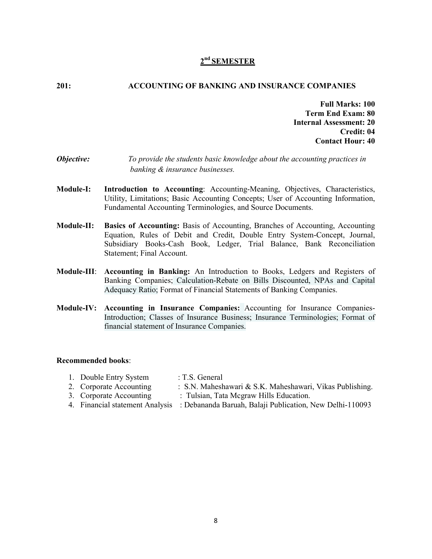### $2<sup>nd</sup>$  SEMESTER

#### $201:$ **ACCOUNTING OF BANKING AND INSURANCE COMPANIES**

**Full Marks: 100 Term End Exam: 80 Internal Assessment: 20** Credit: 04 **Contact Hour: 40** 

- Objective: To provide the students basic knowledge about the accounting practices in banking & insurance businesses.
- **Module-I:** Introduction to Accounting: Accounting-Meaning, Objectives, Characteristics, Utility, Limitations; Basic Accounting Concepts; User of Accounting Information, Fundamental Accounting Terminologies, and Source Documents.
- Module-II: **Basics of Accounting:** Basis of Accounting, Branches of Accounting, Accounting Equation, Rules of Debit and Credit, Double Entry System-Concept, Journal, Subsidiary Books-Cash Book, Ledger, Trial Balance, Bank Reconciliation Statement; Final Account.
- Module-III: Accounting in Banking: An Introduction to Books, Ledgers and Registers of Banking Companies; Calculation-Rebate on Bills Discounted, NPAs and Capital Adequacy Ratio; Format of Financial Statements of Banking Companies.
- Module-IV: Accounting in Insurance Companies: Accounting for Insurance Companies-Introduction; Classes of Insurance Business; Insurance Terminologies; Format of financial statement of Insurance Companies.

- : T.S. General 1. Double Entry System
- 2. Corporate Accounting : S.N. Maheshawari & S.K. Maheshawari, Vikas Publishing.
- 3. Corporate Accounting : Tulsian, Tata Megraw Hills Education.
- 4. Financial statement Analysis : Debananda Baruah, Balaji Publication, New Delhi-110093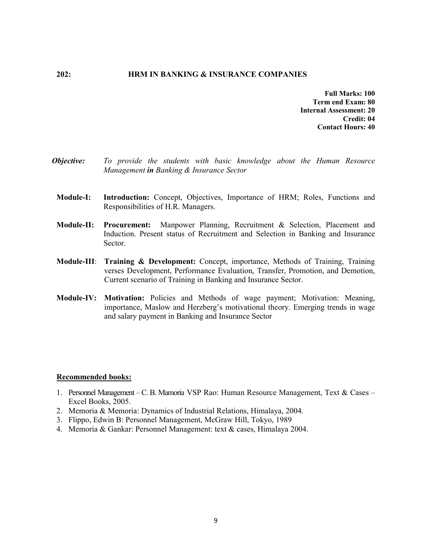#### $202:$ HRM IN BANKING & INSURANCE COMPANIES

**Full Marks: 100** Term end Exam: 80 Internal Assessment: 20 Credit: 04 **Contact Hours: 40** 

- Objective: To provide the students with basic knowledge about the Human Resource Management in Banking & Insurance Sector
- **Module-I:** Introduction: Concept, Objectives, Importance of HRM; Roles, Functions and Responsibilities of H.R. Managers.
- **Module-II: Procurement:** Manpower Planning, Recruitment & Selection, Placement and Induction. Present status of Recruitment and Selection in Banking and Insurance Sector.
- Module-III: Training & Development: Concept, importance, Methods of Training, Training verses Development, Performance Evaluation, Transfer, Promotion, and Demotion, Current scenario of Training in Banking and Insurance Sector.
- **Module-IV:** Motivation: Policies and Methods of wage payment; Motivation: Meaning, importance, Maslow and Herzberg's motivational theory. Emerging trends in wage and salary payment in Banking and Insurance Sector

- 1. Personnel Management C. B. Mamoria VSP Rao: Human Resource Management, Text & Cases -Excel Books, 2005.
- 2. Memoria & Memoria: Dynamics of Industrial Relations, Himalaya, 2004.
- 3. Flippo, Edwin B: Personnel Management, McGraw Hill, Tokyo, 1989
- 4. Memoria & Gankar: Personnel Management: text & cases, Himalaya 2004.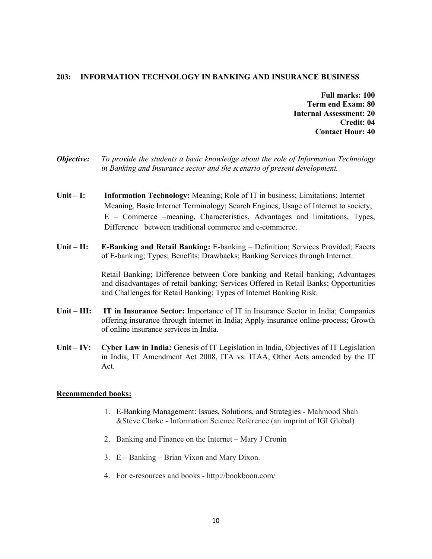#### 203: INFORMATION TECHNOLOGY IN BANKING AND INSURANCE BUSINESS

- **Full marks: 100 Term end Exam: 80 Internal Assessment: 20** Credit: 04 **Contact Hour: 40**
- Objective: To provide the students a basic knowledge about the role of Information Technology in Banking and Insurance sector and the scenario of present development.
- Unit  $-$  I: **Information Technology:** Meaning: Role of IT in business; Limitations; Internet Meaning, Basic Internet Terminology; Search Engines, Usage of Internet to society, E – Commerce – meaning, Characteristics, Advantages and limitations, Types, Difference between traditional commerce and e-commerce.
- Unit  $-$  II: **E-Banking and Retail Banking:** E-banking – Definition; Services Provided; Facets of E-banking; Types; Benefits; Drawbacks; Banking Services through Internet.

Retail Banking; Difference between Core banking and Retail banking; Advantages and disadvantages of retail banking; Services Offered in Retail Banks; Opportunities and Challenges for Retail Banking; Types of Internet Banking Risk.

- Unit  $III$ : **IT in Insurance Sector:** Importance of IT in Insurance Sector in India; Companies offering insurance through internet in India; Apply insurance online-process; Growth of online insurance services in India.
- Unit  $-$  IV: **Cyber Law in India:** Genesis of IT Legislation in India, Objectives of IT Legislation in India, IT Amendment Act 2008, ITA vs. ITAA, Other Acts amended by the IT Act.

- 1. E-Banking Management: Issues, Solutions, and Strategies Mahmood Shah & Steve Clarke - Information Science Reference (an imprint of IGI Global)
- 2. Banking and Finance on the Internet Mary J Cronin
- 3. E Banking Brian Vixon and Mary Dixon.
- 4. For e-resources and books http://bookboon.com/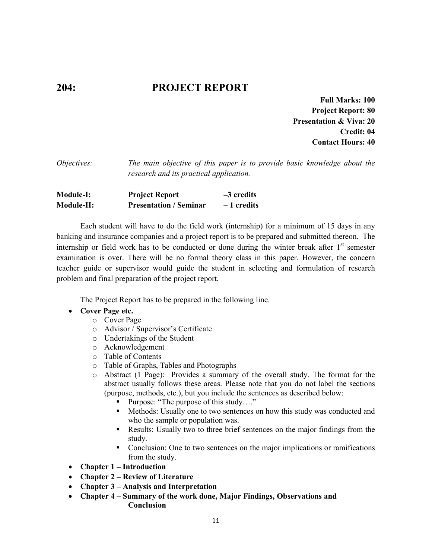# **PROJECT REPORT**

**Full Marks: 100 Project Report: 80 Presentation & Viva: 20** Credit: 04 **Contact Hours: 40** 

The main objective of this paper is to provide basic knowledge about the Objectives: research and its practical application.

| <b>Module-I:</b> | <b>Project Report</b>         | $-3$ credits |
|------------------|-------------------------------|--------------|
| Module-II:       | <b>Presentation / Seminar</b> | $-1$ credits |

Each student will have to do the field work (internship) for a minimum of 15 days in any banking and insurance companies and a project report is to be prepared and submitted thereon. The internship or field work has to be conducted or done during the winter break after 1<sup>st</sup> semester examination is over. There will be no formal theory class in this paper. However, the concern teacher guide or supervisor would guide the student in selecting and formulation of research problem and final preparation of the project report.

The Project Report has to be prepared in the following line.

### • Cover Page etc.

 $204:$ 

- o Cover Page
- o Advisor / Supervisor's Certificate
- o Undertakings of the Student
- o Acknowledgement
- $\circ$  Table of Contents
- o Table of Graphs, Tables and Photographs
- $\circ$  Abstract (1 Page): Provides a summary of the overall study. The format for the abstract usually follows these areas. Please note that you do not label the sections (purpose, methods, etc.), but you include the sentences as described below:
	- Purpose: "The purpose of this study...."
	- Methods: Usually one to two sentences on how this study was conducted and  $\mathbf{u}$ who the sample or population was.
	- Results: Usually two to three brief sentences on the major findings from the study.
	- Conclusion: One to two sentences on the major implications or ramifications from the study.
- Chapter  $1$  Introduction
- Chapter  $2$  Review of Literature
- $\bullet$ **Chapter 3 – Analysis and Interpretation**
- Chapter 4 Summary of the work done, Major Findings, Observations and  $\bullet$ **Conclusion**